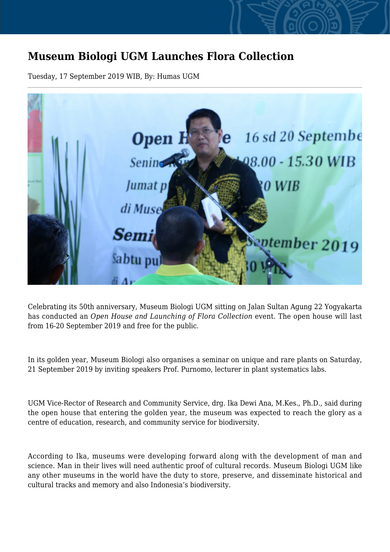## **Museum Biologi UGM Launches Flora Collection**

Tuesday, 17 September 2019 WIB, By: Humas UGM



Celebrating its 50th anniversary, Museum Biologi UGM sitting on Jalan Sultan Agung 22 Yogyakarta has conducted an *Open House and Launching of Flora Collection* event. The open house will last from 16-20 September 2019 and free for the public.

In its golden year, Museum Biologi also organises a seminar on unique and rare plants on Saturday, 21 September 2019 by inviting speakers Prof. Purnomo, lecturer in plant systematics labs.

UGM Vice-Rector of Research and Community Service, drg. Ika Dewi Ana, M.Kes., Ph.D., said during the open house that entering the golden year, the museum was expected to reach the glory as a centre of education, research, and community service for biodiversity.

According to Ika, museums were developing forward along with the development of man and science. Man in their lives will need authentic proof of cultural records. Museum Biologi UGM like any other museums in the world have the duty to store, preserve, and disseminate historical and cultural tracks and memory and also Indonesia's biodiversity.